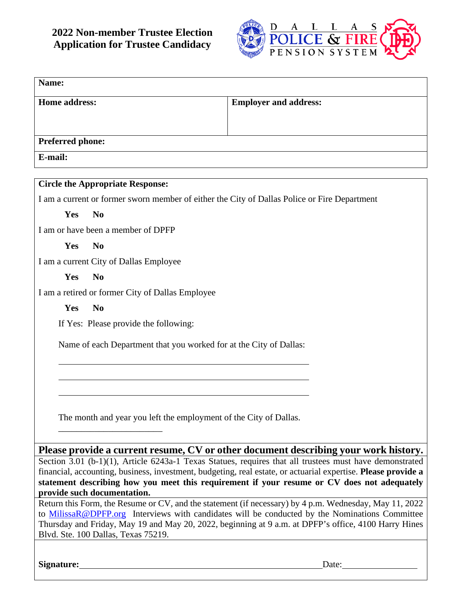

| Name:                                                                                        |                                                                                                                                                                                                        |
|----------------------------------------------------------------------------------------------|--------------------------------------------------------------------------------------------------------------------------------------------------------------------------------------------------------|
| <b>Home address:</b>                                                                         | <b>Employer and address:</b>                                                                                                                                                                           |
|                                                                                              |                                                                                                                                                                                                        |
| <b>Preferred phone:</b>                                                                      |                                                                                                                                                                                                        |
| E-mail:                                                                                      |                                                                                                                                                                                                        |
| <b>Circle the Appropriate Response:</b>                                                      |                                                                                                                                                                                                        |
| I am a current or former sworn member of either the City of Dallas Police or Fire Department |                                                                                                                                                                                                        |
| Yes<br>N <sub>0</sub>                                                                        |                                                                                                                                                                                                        |
| I am or have been a member of DPFP                                                           |                                                                                                                                                                                                        |
| Yes<br>N <sub>0</sub>                                                                        |                                                                                                                                                                                                        |
| I am a current City of Dallas Employee                                                       |                                                                                                                                                                                                        |
| Yes<br>N <sub>0</sub>                                                                        |                                                                                                                                                                                                        |
| I am a retired or former City of Dallas Employee                                             |                                                                                                                                                                                                        |
| Yes<br>N <sub>0</sub>                                                                        |                                                                                                                                                                                                        |
| If Yes: Please provide the following:                                                        |                                                                                                                                                                                                        |
|                                                                                              |                                                                                                                                                                                                        |
| Name of each Department that you worked for at the City of Dallas:                           |                                                                                                                                                                                                        |
|                                                                                              |                                                                                                                                                                                                        |
|                                                                                              |                                                                                                                                                                                                        |
|                                                                                              |                                                                                                                                                                                                        |
| The month and year you left the employment of the City of Dallas.                            |                                                                                                                                                                                                        |
|                                                                                              |                                                                                                                                                                                                        |
|                                                                                              |                                                                                                                                                                                                        |
|                                                                                              | Please provide a current resume, CV or other document describing your work history.<br>Section 3.01 (b-1)(1), Article 6243a-1 Texas Statues, requires that all trustees must have demonstrated         |
|                                                                                              | financial, accounting, business, investment, budgeting, real estate, or actuarial expertise. Please provide a                                                                                          |
| provide such documentation.                                                                  | statement describing how you meet this requirement if your resume or CV does not adequately                                                                                                            |
|                                                                                              | Return this Form, the Resume or CV, and the statement (if necessary) by 4 p.m. Wednesday, May 11, 2022                                                                                                 |
|                                                                                              | to MilissaR@DPFP.org Interviews with candidates will be conducted by the Nominations Committee<br>Thursday and Friday, May 19 and May 20, 2022, beginning at 9 a.m. at DPFP's office, 4100 Harry Hines |
| Blvd. Ste. 100 Dallas, Texas 75219.                                                          |                                                                                                                                                                                                        |

Signature: Date: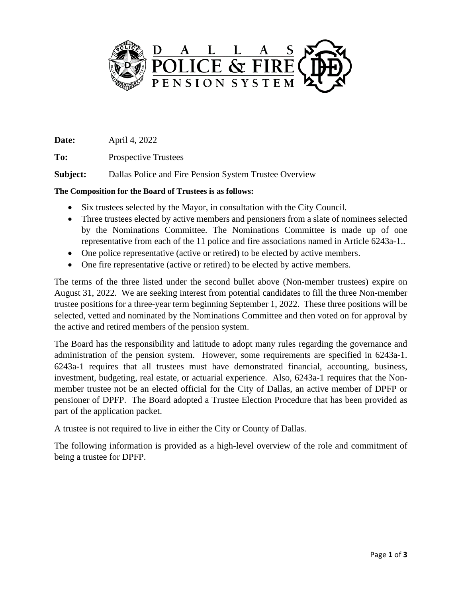

**Date:** April 4, 2022

**To:** Prospective Trustees

**Subject:** Dallas Police and Fire Pension System Trustee Overview

# **The Composition for the Board of Trustees is as follows:**

- Six trustees selected by the Mayor, in consultation with the City Council.
- Three trustees elected by active members and pensioners from a slate of nominees selected by the Nominations Committee. The Nominations Committee is made up of one representative from each of the 11 police and fire associations named in Article 6243a-1..
- One police representative (active or retired) to be elected by active members.
- One fire representative (active or retired) to be elected by active members.

The terms of the three listed under the second bullet above (Non-member trustees) expire on August 31, 2022. We are seeking interest from potential candidates to fill the three Non-member trustee positions for a three-year term beginning September 1, 2022. These three positions will be selected, vetted and nominated by the Nominations Committee and then voted on for approval by the active and retired members of the pension system.

The Board has the responsibility and latitude to adopt many rules regarding the governance and administration of the pension system. However, some requirements are specified in 6243a-1. 6243a-1 requires that all trustees must have demonstrated financial, accounting, business, investment, budgeting, real estate, or actuarial experience. Also, 6243a-1 requires that the Nonmember trustee not be an elected official for the City of Dallas, an active member of DPFP or pensioner of DPFP. The Board adopted a Trustee Election Procedure that has been provided as part of the application packet.

A trustee is not required to live in either the City or County of Dallas.

The following information is provided as a high-level overview of the role and commitment of being a trustee for DPFP.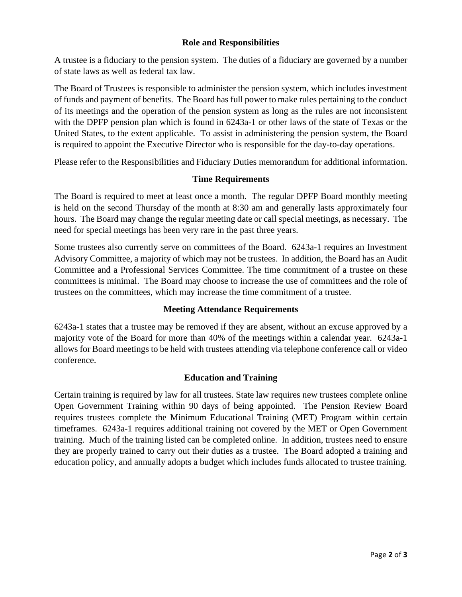## **Role and Responsibilities**

A trustee is a fiduciary to the pension system. The duties of a fiduciary are governed by a number of state laws as well as federal tax law.

The Board of Trustees is responsible to administer the pension system, which includes investment of funds and payment of benefits. The Board has full power to make rules pertaining to the conduct of its meetings and the operation of the pension system as long as the rules are not inconsistent with the DPFP pension plan which is found in 6243a-1 or other laws of the state of Texas or the United States, to the extent applicable. To assist in administering the pension system, the Board is required to appoint the Executive Director who is responsible for the day-to-day operations.

Please refer to the Responsibilities and Fiduciary Duties memorandum for additional information.

## **Time Requirements**

The Board is required to meet at least once a month. The regular DPFP Board monthly meeting is held on the second Thursday of the month at 8:30 am and generally lasts approximately four hours. The Board may change the regular meeting date or call special meetings, as necessary. The need for special meetings has been very rare in the past three years.

Some trustees also currently serve on committees of the Board. 6243a-1 requires an Investment Advisory Committee, a majority of which may not be trustees. In addition, the Board has an Audit Committee and a Professional Services Committee. The time commitment of a trustee on these committees is minimal. The Board may choose to increase the use of committees and the role of trustees on the committees, which may increase the time commitment of a trustee.

# **Meeting Attendance Requirements**

6243a-1 states that a trustee may be removed if they are absent, without an excuse approved by a majority vote of the Board for more than 40% of the meetings within a calendar year. 6243a-1 allows for Board meetings to be held with trustees attending via telephone conference call or video conference.

# **Education and Training**

Certain training is required by law for all trustees. State law requires new trustees complete online Open Government Training within 90 days of being appointed. The Pension Review Board requires trustees complete the Minimum Educational Training (MET) Program within certain timeframes. 6243a-1 requires additional training not covered by the MET or Open Government training. Much of the training listed can be completed online. In addition, trustees need to ensure they are properly trained to carry out their duties as a trustee. The Board adopted a training and education policy, and annually adopts a budget which includes funds allocated to trustee training.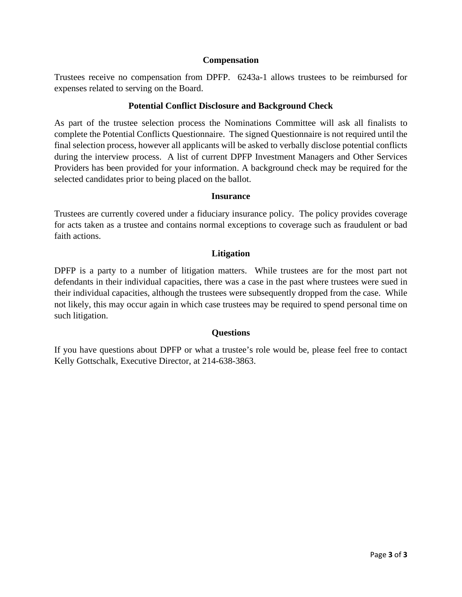#### **Compensation**

Trustees receive no compensation from DPFP. 6243a-1 allows trustees to be reimbursed for expenses related to serving on the Board.

## **Potential Conflict Disclosure and Background Check**

As part of the trustee selection process the Nominations Committee will ask all finalists to complete the Potential Conflicts Questionnaire. The signed Questionnaire is not required until the final selection process, however all applicants will be asked to verbally disclose potential conflicts during the interview process. A list of current DPFP Investment Managers and Other Services Providers has been provided for your information. A background check may be required for the selected candidates prior to being placed on the ballot.

#### **Insurance**

Trustees are currently covered under a fiduciary insurance policy. The policy provides coverage for acts taken as a trustee and contains normal exceptions to coverage such as fraudulent or bad faith actions.

## **Litigation**

DPFP is a party to a number of litigation matters. While trustees are for the most part not defendants in their individual capacities, there was a case in the past where trustees were sued in their individual capacities, although the trustees were subsequently dropped from the case. While not likely, this may occur again in which case trustees may be required to spend personal time on such litigation.

## **Questions**

If you have questions about DPFP or what a trustee's role would be, please feel free to contact Kelly Gottschalk, Executive Director, at 214-638-3863.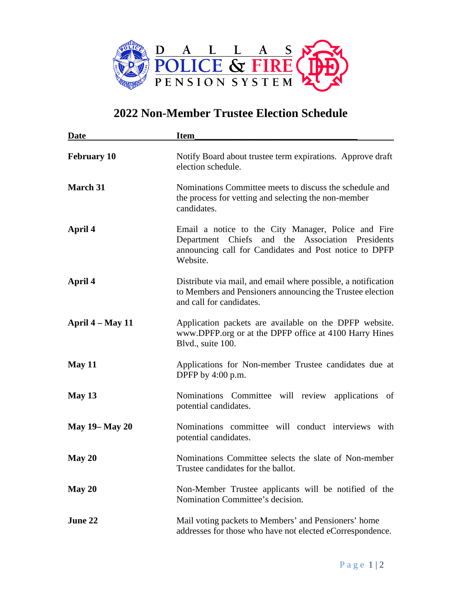

# **2022 Non-Member Trustee Election Schedule**

| <b>Date</b>           | <b>Item</b>                                                                                                                                                                   |  |
|-----------------------|-------------------------------------------------------------------------------------------------------------------------------------------------------------------------------|--|
| <b>February 10</b>    | Notify Board about trustee term expirations. Approve draft<br>election schedule.                                                                                              |  |
| March 31              | Nominations Committee meets to discuss the schedule and<br>the process for vetting and selecting the non-member<br>candidates.                                                |  |
| April 4               | Email a notice to the City Manager, Police and Fire<br>Department Chiefs and the Association Presidents<br>announcing call for Candidates and Post notice to DPFP<br>Website. |  |
| April 4               | Distribute via mail, and email where possible, a notification<br>to Members and Pensioners announcing the Trustee election<br>and call for candidates.                        |  |
| April $4 - May 11$    | Application packets are available on the DPFP website.<br>www.DPFP.org or at the DPFP office at 4100 Harry Hines<br>Blvd., suite 100.                                         |  |
| May 11                | Applications for Non-member Trustee candidates due at<br>DPFP by $4:00$ p.m.                                                                                                  |  |
| May $13$              | Nominations Committee will review applications of<br>potential candidates.                                                                                                    |  |
| <b>May 19– May 20</b> | Nominations committee will conduct interviews with<br>potential candidates.                                                                                                   |  |
| May 20                | Nominations Committee selects the slate of Non-member<br>Trustee candidates for the ballot.                                                                                   |  |
| May 20                | Non-Member Trustee applicants will be notified of the<br>Nomination Committee's decision.                                                                                     |  |
| June 22               | Mail voting packets to Members' and Pensioners' home<br>addresses for those who have not elected eCorrespondence.                                                             |  |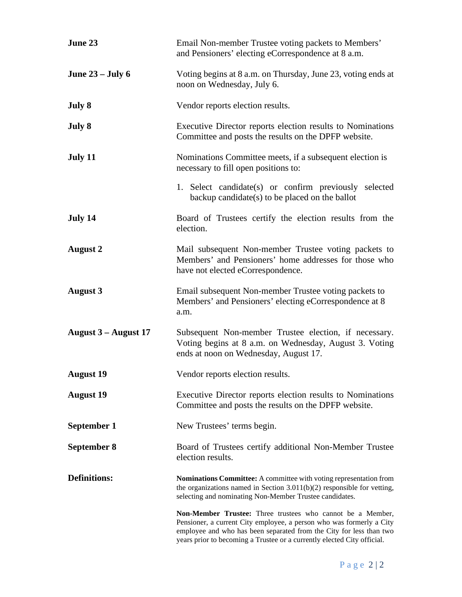| June 23              | Email Non-member Trustee voting packets to Members'<br>and Pensioners' electing eCorrespondence at 8 a.m.                                                                                                                                                                            |  |
|----------------------|--------------------------------------------------------------------------------------------------------------------------------------------------------------------------------------------------------------------------------------------------------------------------------------|--|
| June $23 -$ July 6   | Voting begins at 8 a.m. on Thursday, June 23, voting ends at<br>noon on Wednesday, July 6.                                                                                                                                                                                           |  |
| July 8               | Vendor reports election results.                                                                                                                                                                                                                                                     |  |
| July 8               | Executive Director reports election results to Nominations<br>Committee and posts the results on the DPFP website.                                                                                                                                                                   |  |
| July 11              | Nominations Committee meets, if a subsequent election is<br>necessary to fill open positions to:                                                                                                                                                                                     |  |
|                      | 1. Select candidate(s) or confirm previously selected<br>backup candidate(s) to be placed on the ballot                                                                                                                                                                              |  |
| July 14              | Board of Trustees certify the election results from the<br>election.                                                                                                                                                                                                                 |  |
| <b>August 2</b>      | Mail subsequent Non-member Trustee voting packets to<br>Members' and Pensioners' home addresses for those who<br>have not elected eCorrespondence.                                                                                                                                   |  |
| <b>August 3</b>      | Email subsequent Non-member Trustee voting packets to<br>Members' and Pensioners' electing eCorrespondence at 8<br>a.m.                                                                                                                                                              |  |
| August 3 – August 17 | Subsequent Non-member Trustee election, if necessary.<br>Voting begins at 8 a.m. on Wednesday, August 3. Voting<br>ends at noon on Wednesday, August 17.                                                                                                                             |  |
| <b>August 19</b>     | Vendor reports election results.                                                                                                                                                                                                                                                     |  |
| <b>August 19</b>     | Executive Director reports election results to Nominations<br>Committee and posts the results on the DPFP website.                                                                                                                                                                   |  |
| September 1          | New Trustees' terms begin.                                                                                                                                                                                                                                                           |  |
| September 8          | Board of Trustees certify additional Non-Member Trustee<br>election results.                                                                                                                                                                                                         |  |
| <b>Definitions:</b>  | Nominations Committee: A committee with voting representation from<br>the organizations named in Section $3.011(b)(2)$ responsible for vetting,<br>selecting and nominating Non-Member Trustee candidates.                                                                           |  |
|                      | Non-Member Trustee: Three trustees who cannot be a Member,<br>Pensioner, a current City employee, a person who was formerly a City<br>employee and who has been separated from the City for less than two<br>years prior to becoming a Trustee or a currently elected City official. |  |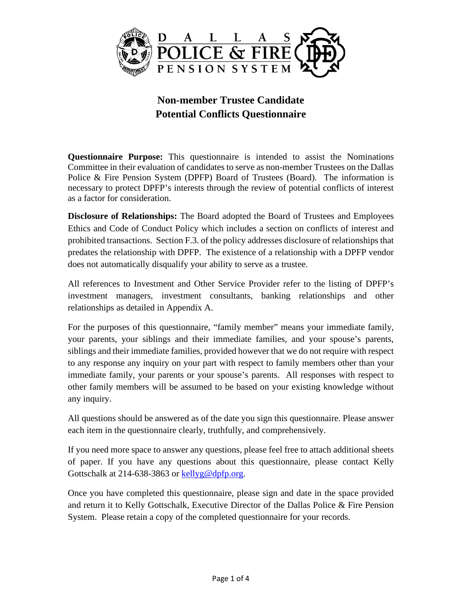

# **Non-member Trustee Candidate Potential Conflicts Questionnaire**

**Questionnaire Purpose:** This questionnaire is intended to assist the Nominations Committee in their evaluation of candidates to serve as non-member Trustees on the Dallas Police & Fire Pension System (DPFP) Board of Trustees (Board). The information is necessary to protect DPFP's interests through the review of potential conflicts of interest as a factor for consideration.

**Disclosure of Relationships:** The Board adopted the Board of Trustees and Employees Ethics and Code of Conduct Policy which includes a section on conflicts of interest and prohibited transactions. Section F.3. of the policy addresses disclosure of relationships that predates the relationship with DPFP. The existence of a relationship with a DPFP vendor does not automatically disqualify your ability to serve as a trustee.

All references to Investment and Other Service Provider refer to the listing of DPFP's investment managers, investment consultants, banking relationships and other relationships as detailed in Appendix A.

For the purposes of this questionnaire, "family member" means your immediate family, your parents, your siblings and their immediate families, and your spouse's parents, siblings and their immediate families, provided however that we do not require with respect to any response any inquiry on your part with respect to family members other than your immediate family, your parents or your spouse's parents. All responses with respect to other family members will be assumed to be based on your existing knowledge without any inquiry.

All questions should be answered as of the date you sign this questionnaire. Please answer each item in the questionnaire clearly, truthfully, and comprehensively.

If you need more space to answer any questions, please feel free to attach additional sheets of paper. If you have any questions about this questionnaire, please contact Kelly Gottschalk at 214-638-3863 or [kellyg@dpfp.org.](mailto:kellyg@dpfp.org)

Once you have completed this questionnaire, please sign and date in the space provided and return it to Kelly Gottschalk, Executive Director of the Dallas Police & Fire Pension System. Please retain a copy of the completed questionnaire for your records.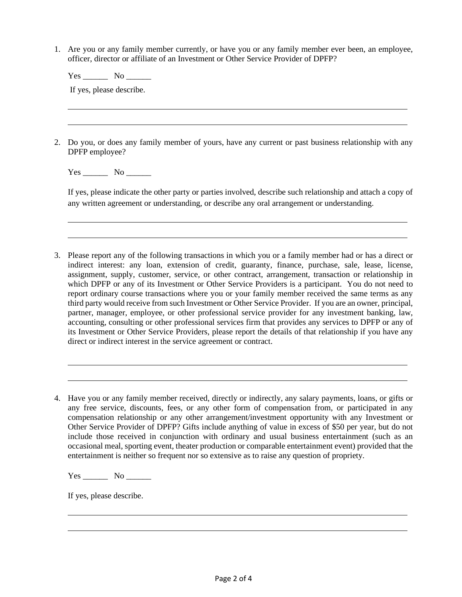1. Are you or any family member currently, or have you or any family member ever been, an employee, officer, director or affiliate of an Investment or Other Service Provider of DPFP?

Yes No

If yes, please describe.

2. Do you, or does any family member of yours, have any current or past business relationship with any DPFP employee?

Yes No

If yes, please indicate the other party or parties involved, describe such relationship and attach a copy of any written agreement or understanding, or describe any oral arrangement or understanding.

3. Please report any of the following transactions in which you or a family member had or has a direct or indirect interest: any loan, extension of credit, guaranty, finance, purchase, sale, lease, license, assignment, supply, customer, service, or other contract, arrangement, transaction or relationship in which DPFP or any of its Investment or Other Service Providers is a participant. You do not need to report ordinary course transactions where you or your family member received the same terms as any third party would receive from such Investment or Other Service Provider. If you are an owner, principal, partner, manager, employee, or other professional service provider for any investment banking, law, accounting, consulting or other professional services firm that provides any services to DPFP or any of its Investment or Other Service Providers, please report the details of that relationship if you have any direct or indirect interest in the service agreement or contract.

Yes \_\_\_\_\_\_ No \_\_\_\_\_\_

If yes, please describe.

<sup>4.</sup> Have you or any family member received, directly or indirectly, any salary payments, loans, or gifts or any free service, discounts, fees, or any other form of compensation from, or participated in any compensation relationship or any other arrangement/investment opportunity with any Investment or Other Service Provider of DPFP? Gifts include anything of value in excess of \$50 per year, but do not include those received in conjunction with ordinary and usual business entertainment (such as an occasional meal, sporting event, theater production or comparable entertainment event) provided that the entertainment is neither so frequent nor so extensive as to raise any question of propriety.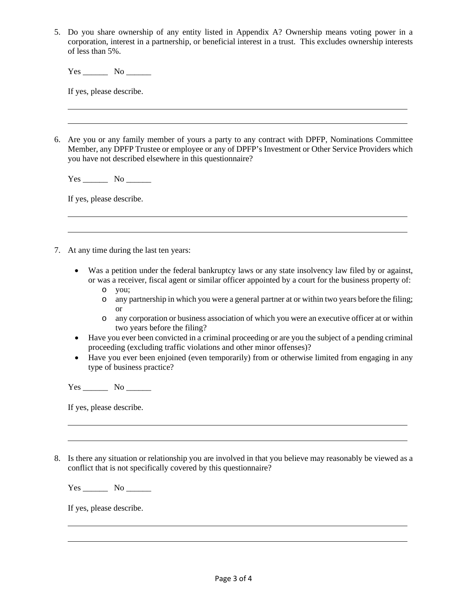5. Do you share ownership of any entity listed in Appendix A? Ownership means voting power in a corporation, interest in a partnership, or beneficial interest in a trust. This excludes ownership interests of less than 5%.

Yes \_\_\_\_\_\_ No \_\_\_\_\_\_

If yes, please describe.

6. Are you or any family member of yours a party to any contract with DPFP, Nominations Committee Member, any DPFP Trustee or employee or any of DPFP's Investment or Other Service Providers which you have not described elsewhere in this questionnaire?

Yes No

If yes, please describe.

- 7. At any time during the last ten years:
	- Was a petition under the federal bankruptcy laws or any state insolvency law filed by or against, or was a receiver, fiscal agent or similar officer appointed by a court for the business property of:
		- o you;
		- o any partnership in which you were a general partner at or within two years before the filing; or
		- o any corporation or business association of which you were an executive officer at or within two years before the filing?
	- Have you ever been convicted in a criminal proceeding or are you the subject of a pending criminal proceeding (excluding traffic violations and other minor offenses)?
	- Have you ever been enjoined (even temporarily) from or otherwise limited from engaging in any type of business practice?

 $Yes$  No  $\qquad$ 

If yes, please describe.

8. Is there any situation or relationship you are involved in that you believe may reasonably be viewed as a conflict that is not specifically covered by this questionnaire?

Yes \_\_\_\_\_\_ No \_\_\_\_\_\_

If yes, please describe.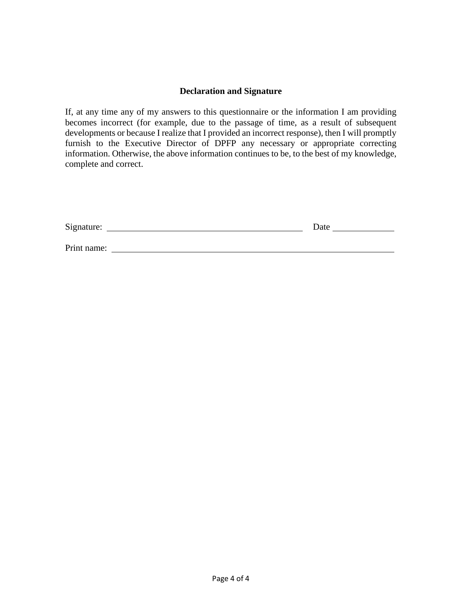## **Declaration and Signature**

If, at any time any of my answers to this questionnaire or the information I am providing becomes incorrect (for example, due to the passage of time, as a result of subsequent developments or because I realize that I provided an incorrect response), then I will promptly furnish to the Executive Director of DPFP any necessary or appropriate correcting information. Otherwise, the above information continues to be, to the best of my knowledge, complete and correct.

| Signature:  | Date |
|-------------|------|
|             |      |
| Print name: |      |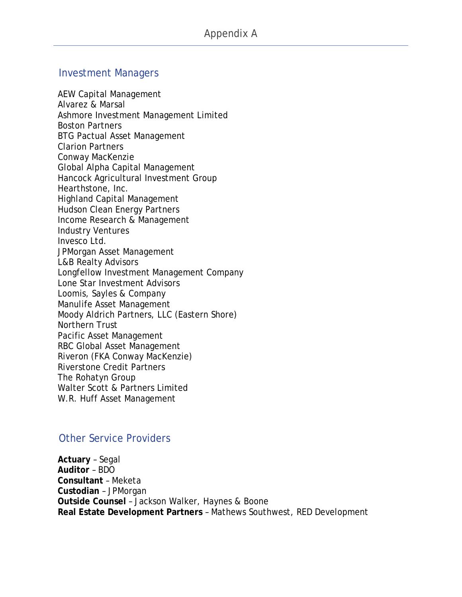# Investment Managers

AEW Capital Management Alvarez & Marsal Ashmore Investment Management Limited Boston Partners BTG Pactual Asset Management Clarion Partners Conway MacKenzie Global Alpha Capital Management Hancock Agricultural Investment Group Hearthstone, Inc. Highland Capital Management Hudson Clean Energy Partners Income Research & Management Industry Ventures Invesco Ltd. JPMorgan Asset Management L&B Realty Advisors Longfellow Investment Management Company Lone Star Investment Advisors Loomis, Sayles & Company Manulife Asset Management Moody Aldrich Partners, LLC (Eastern Shore) Northern Trust Pacific Asset Management RBC Global Asset Management Riveron (FKA Conway MacKenzie) Riverstone Credit Partners The Rohatyn Group Walter Scott & Partners Limited W.R. Huff Asset Management

# Other Service Providers

**Actuary** – Segal **Auditor** – BDO **Consultant** – Meketa **Custodian** – JPMorgan **Outside Counsel** – Jackson Walker, Haynes & Boone **Real Estate Development Partners** – Mathews Southwest, RED Development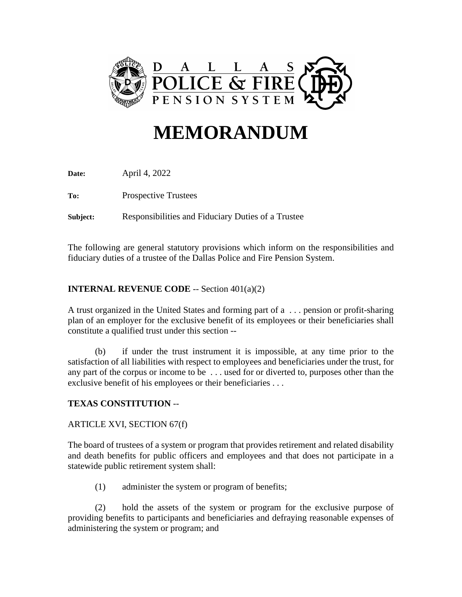

# **MEMORANDUM**

**Date:** April 4, 2022

**To:** Prospective Trustees

**Subject:** Responsibilities and Fiduciary Duties of a Trustee

The following are general statutory provisions which inform on the responsibilities and fiduciary duties of a trustee of the Dallas Police and Fire Pension System.

# **INTERNAL REVENUE CODE** -- Section 401(a)(2)

A trust organized in the United States and forming part of a . . . pension or profit-sharing plan of an employer for the exclusive benefit of its employees or their beneficiaries shall constitute a qualified trust under this section --

(b) if under the trust instrument it is impossible, at any time prior to the satisfaction of all liabilities with respect to employees and beneficiaries under the trust, for any part of the corpus or income to be . . . used for or diverted to, purposes other than the exclusive benefit of his employees or their beneficiaries . . .

# **TEXAS CONSTITUTION** --

# ARTICLE XVI, SECTION 67(f)

The board of trustees of a system or program that provides retirement and related disability and death benefits for public officers and employees and that does not participate in a statewide public retirement system shall:

(1) administer the system or program of benefits;

(2) hold the assets of the system or program for the exclusive purpose of providing benefits to participants and beneficiaries and defraying reasonable expenses of administering the system or program; and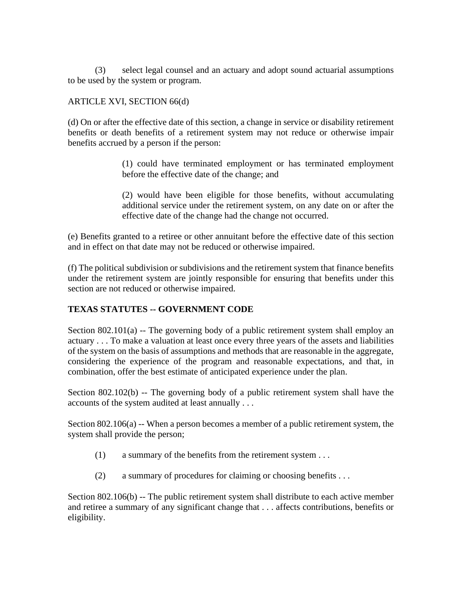(3) select legal counsel and an actuary and adopt sound actuarial assumptions to be used by the system or program.

## ARTICLE XVI, SECTION 66(d)

(d) On or after the effective date of this section, a change in service or disability retirement benefits or death benefits of a retirement system may not reduce or otherwise impair benefits accrued by a person if the person:

> (1) could have terminated employment or has terminated employment before the effective date of the change; and

> (2) would have been eligible for those benefits, without accumulating additional service under the retirement system, on any date on or after the effective date of the change had the change not occurred.

(e) Benefits granted to a retiree or other annuitant before the effective date of this section and in effect on that date may not be reduced or otherwise impaired.

(f) The political subdivision or subdivisions and the retirement system that finance benefits under the retirement system are jointly responsible for ensuring that benefits under this section are not reduced or otherwise impaired.

# **TEXAS STATUTES -- GOVERNMENT CODE**

Section  $802.101(a)$  -- The governing body of a public retirement system shall employ an actuary . . . To make a valuation at least once every three years of the assets and liabilities of the system on the basis of assumptions and methods that are reasonable in the aggregate, considering the experience of the program and reasonable expectations, and that, in combination, offer the best estimate of anticipated experience under the plan.

Section 802.102(b) -- The governing body of a public retirement system shall have the accounts of the system audited at least annually . . .

Section 802.106(a) -- When a person becomes a member of a public retirement system, the system shall provide the person;

- (1) a summary of the benefits from the retirement system . . .
- (2) a summary of procedures for claiming or choosing benefits . . .

Section 802.106(b) -- The public retirement system shall distribute to each active member and retiree a summary of any significant change that . . . affects contributions, benefits or eligibility.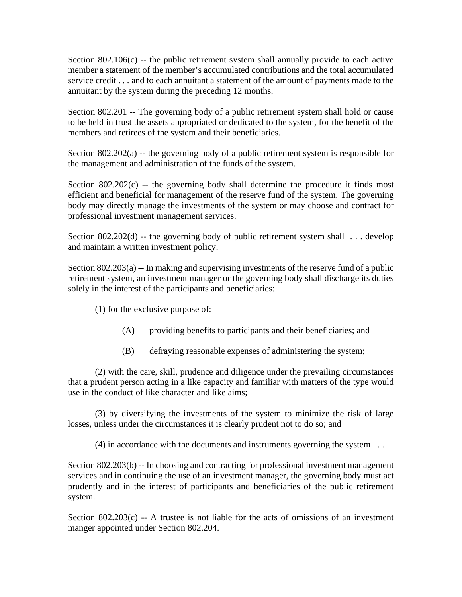Section  $802.106(c)$  -- the public retirement system shall annually provide to each active member a statement of the member's accumulated contributions and the total accumulated service credit . . . and to each annuitant a statement of the amount of payments made to the annuitant by the system during the preceding 12 months.

Section 802.201 -- The governing body of a public retirement system shall hold or cause to be held in trust the assets appropriated or dedicated to the system, for the benefit of the members and retirees of the system and their beneficiaries.

Section 802.202(a) -- the governing body of a public retirement system is responsible for the management and administration of the funds of the system.

Section  $802.202(c)$  -- the governing body shall determine the procedure it finds most efficient and beneficial for management of the reserve fund of the system. The governing body may directly manage the investments of the system or may choose and contract for professional investment management services.

Section 802.202(d) -- the governing body of public retirement system shall  $\ldots$  develop and maintain a written investment policy.

Section 802.203(a) -- In making and supervising investments of the reserve fund of a public retirement system, an investment manager or the governing body shall discharge its duties solely in the interest of the participants and beneficiaries:

(1) for the exclusive purpose of:

- (A) providing benefits to participants and their beneficiaries; and
- (B) defraying reasonable expenses of administering the system;

(2) with the care, skill, prudence and diligence under the prevailing circumstances that a prudent person acting in a like capacity and familiar with matters of the type would use in the conduct of like character and like aims;

(3) by diversifying the investments of the system to minimize the risk of large losses, unless under the circumstances it is clearly prudent not to do so; and

(4) in accordance with the documents and instruments governing the system . . .

Section 802.203(b) -- In choosing and contracting for professional investment management services and in continuing the use of an investment manager, the governing body must act prudently and in the interest of participants and beneficiaries of the public retirement system.

Section  $802.203(c) - A$  trustee is not liable for the acts of omissions of an investment manger appointed under Section 802.204.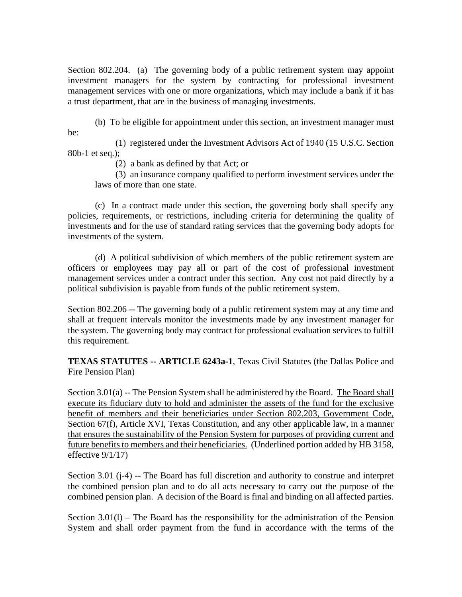Section 802.204. (a) The governing body of a public retirement system may appoint investment managers for the system by contracting for professional investment management services with one or more organizations, which may include a bank if it has a trust department, that are in the business of managing investments.

(b) To be eligible for appointment under this section, an investment manager must be:

(1) registered under the Investment Advisors Act of 1940 (15 U.S.C. Section 80b-1 et seq.);

(2) a bank as defined by that Act; or

(3) an insurance company qualified to perform investment services under the laws of more than one state.

(c) In a contract made under this section, the governing body shall specify any policies, requirements, or restrictions, including criteria for determining the quality of investments and for the use of standard rating services that the governing body adopts for investments of the system.

(d) A political subdivision of which members of the public retirement system are officers or employees may pay all or part of the cost of professional investment management services under a contract under this section. Any cost not paid directly by a political subdivision is payable from funds of the public retirement system.

Section 802.206 -- The governing body of a public retirement system may at any time and shall at frequent intervals monitor the investments made by any investment manager for the system. The governing body may contract for professional evaluation services to fulfill this requirement.

**TEXAS STATUTES -- ARTICLE 6243a-1**, Texas Civil Statutes (the Dallas Police and Fire Pension Plan)

Section 3.01(a) -- The Pension System shall be administered by the Board. The Board shall execute its fiduciary duty to hold and administer the assets of the fund for the exclusive benefit of members and their beneficiaries under Section 802.203, Government Code, Section 67(f), Article XVI, Texas Constitution, and any other applicable law, in a manner that ensures the sustainability of the Pension System for purposes of providing current and future benefits to members and their beneficiaries. (Underlined portion added by HB 3158, effective 9/1/17)

Section 3.01 (j-4) -- The Board has full discretion and authority to construe and interpret the combined pension plan and to do all acts necessary to carry out the purpose of the combined pension plan. A decision of the Board is final and binding on all affected parties.

Section  $3.01(1)$  – The Board has the responsibility for the administration of the Pension System and shall order payment from the fund in accordance with the terms of the